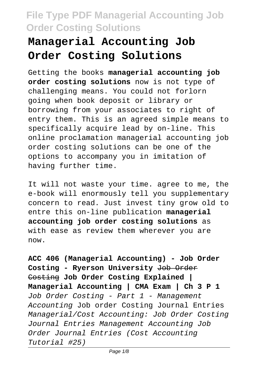# **Managerial Accounting Job Order Costing Solutions**

Getting the books **managerial accounting job order costing solutions** now is not type of challenging means. You could not forlorn going when book deposit or library or borrowing from your associates to right of entry them. This is an agreed simple means to specifically acquire lead by on-line. This online proclamation managerial accounting job order costing solutions can be one of the options to accompany you in imitation of having further time.

It will not waste your time. agree to me, the e-book will enormously tell you supplementary concern to read. Just invest tiny grow old to entre this on-line publication **managerial accounting job order costing solutions** as with ease as review them wherever you are now.

**ACC 406 (Managerial Accounting) - Job Order Costing - Ryerson University** Job Order Costing **Job Order Costing Explained | Managerial Accounting | CMA Exam | Ch 3 P 1** Job Order Costing - Part 1 - Management Accounting Job order Costing Journal Entries Managerial/Cost Accounting: Job Order Costing Journal Entries Management Accounting Job Order Journal Entries (Cost Accounting Tutorial #25)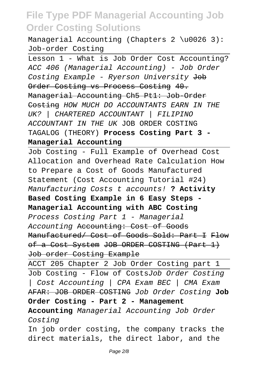Managerial Accounting (Chapters 2 \u0026 3): Job-order Costing

Lesson 1 - What is Job Order Cost Accounting? ACC 406 (Managerial Accounting) - Job Order Costing Example - Ryerson University Job Order Costing vs Process Costing 40. Managerial Accounting Ch5 Pt1: Job-Order Costing HOW MUCH DO ACCOUNTANTS EARN IN THE UK? | CHARTERED ACCOUNTANT | FILIPINO ACCOUNTANT IN THE UK JOB ORDER COSTING TAGALOG (THEORY) **Process Costing Part 3 - Managerial Accounting**

Job Costing - Full Example of Overhead Cost Allocation and Overhead Rate Calculation How to Prepare a Cost of Goods Manufactured Statement (Cost Accounting Tutorial #24) Manufacturing Costs t accounts! **? Activity Based Costing Example in 6 Easy Steps - Managerial Accounting with ABC Costing** Process Costing Part 1 - Managerial Accounting Accounting: Cost of Goods Manufactured/ Cost of Goods Sold: Part I Flow of a Cost System JOB ORDER COSTING (Part 1) Job order Costing Example

ACCT 205 Chapter 2 Job Order Costing part 1 Job Costing - Flow of CostsJob Order Costing | Cost Accounting | CPA Exam BEC | CMA Exam AFAR: JOB ORDER COSTING Job Order Costing **Job Order Costing - Part 2 - Management Accounting** Managerial Accounting Job Order

Costing

In job order costing, the company tracks the direct materials, the direct labor, and the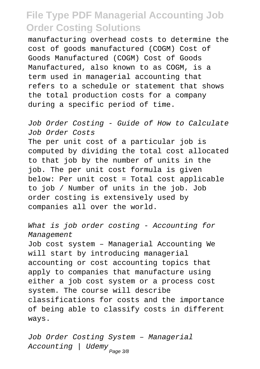manufacturing overhead costs to determine the cost of goods manufactured (COGM) Cost of Goods Manufactured (COGM) Cost of Goods Manufactured, also known to as COGM, is a term used in managerial accounting that refers to a schedule or statement that shows the total production costs for a company during a specific period of time.

Job Order Costing - Guide of How to Calculate Job Order Costs The per unit cost of a particular job is computed by dividing the total cost allocated to that job by the number of units in the job. The per unit cost formula is given below: Per unit cost = Total cost applicable to job / Number of units in the job. Job order costing is extensively used by companies all over the world.

What is job order costing - Accounting for Management

Job cost system – Managerial Accounting We will start by introducing managerial accounting or cost accounting topics that apply to companies that manufacture using either a job cost system or a process cost system. The course will describe classifications for costs and the importance of being able to classify costs in different ways.

Job Order Costing System – Managerial Accounting | Udemy <sub>Page 3/8</sub>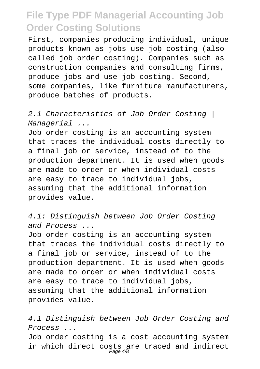First, companies producing individual, unique products known as jobs use job costing (also called job order costing). Companies such as construction companies and consulting firms, produce jobs and use job costing. Second, some companies, like furniture manufacturers, produce batches of products.

2.1 Characteristics of Job Order Costing | Managerial ...

Job order costing is an accounting system that traces the individual costs directly to a final job or service, instead of to the production department. It is used when goods are made to order or when individual costs are easy to trace to individual jobs, assuming that the additional information provides value.

4.1: Distinguish between Job Order Costing and Process ...

Job order costing is an accounting system that traces the individual costs directly to a final job or service, instead of to the production department. It is used when goods are made to order or when individual costs are easy to trace to individual jobs, assuming that the additional information provides value.

4.1 Distinguish between Job Order Costing and Process ... Job order costing is a cost accounting system in which direct costs are traced and indirect Page 4/8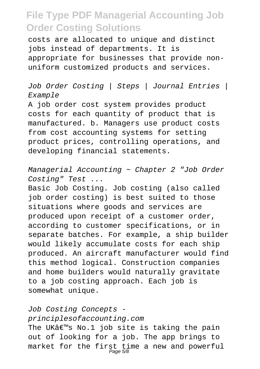costs are allocated to unique and distinct jobs instead of departments. It is appropriate for businesses that provide nonuniform customized products and services.

Job Order Costing | Steps | Journal Entries | Example

A job order cost system provides product costs for each quantity of product that is manufactured. b. Managers use product costs from cost accounting systems for setting product prices, controlling operations, and developing financial statements.

Managerial Accounting ~ Chapter 2 "Job Order Costing" Test ...

Basic Job Costing. Job costing (also called job order costing) is best suited to those situations where goods and services are produced upon receipt of a customer order, according to customer specifications, or in separate batches. For example, a ship builder would likely accumulate costs for each ship produced. An aircraft manufacturer would find this method logical. Construction companies and home builders would naturally gravitate to a job costing approach. Each job is somewhat unique.

Job Costing Concepts principlesofaccounting.com The UK $a \in \mathbb{N}$ s No.1 job site is taking the pain out of looking for a job. The app brings to market for the first time a new and powerful<br>Page 5/8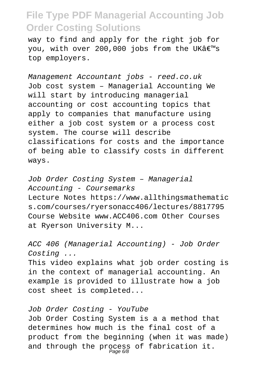way to find and apply for the right job for you, with over 200,000 jobs from the UK $a \in \mathbb{R}^N$ s top employers.

Management Accountant jobs - reed.co.uk Job cost system – Managerial Accounting We will start by introducing managerial accounting or cost accounting topics that apply to companies that manufacture using either a job cost system or a process cost system. The course will describe classifications for costs and the importance of being able to classify costs in different ways.

Job Order Costing System – Managerial Accounting - Coursemarks Lecture Notes https://www.allthingsmathematic s.com/courses/ryersonacc406/lectures/8817795 Course Website www.ACC406.com Other Courses at Ryerson University M...

ACC 406 (Managerial Accounting) - Job Order Costing ...

This video explains what job order costing is in the context of managerial accounting. An example is provided to illustrate how a job cost sheet is completed...

Job Order Costing - YouTube

Job Order Costing System is a a method that determines how much is the final cost of a product from the beginning (when it was made) and through the process of fabrication it.<br>Page 6/8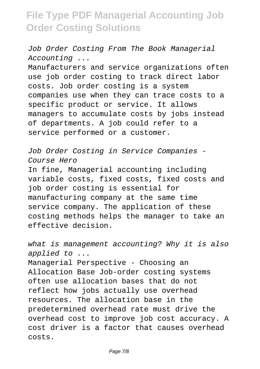Job Order Costing From The Book Managerial Accounting ...

Manufacturers and service organizations often use job order costing to track direct labor costs. Job order costing is a system companies use when they can trace costs to a specific product or service. It allows managers to accumulate costs by jobs instead of departments. A job could refer to a service performed or a customer.

Job Order Costing in Service Companies - Course Hero

In fine, Managerial accounting including variable costs, fixed costs, fixed costs and job order costing is essential for manufacturing company at the same time service company. The application of these costing methods helps the manager to take an effective decision.

what is management accounting? Why it is also applied to ...

Managerial Perspective - Choosing an Allocation Base Job-order costing systems often use allocation bases that do not reflect how jobs actually use overhead resources. The allocation base in the predetermined overhead rate must drive the overhead cost to improve job cost accuracy. A cost driver is a factor that causes overhead costs.